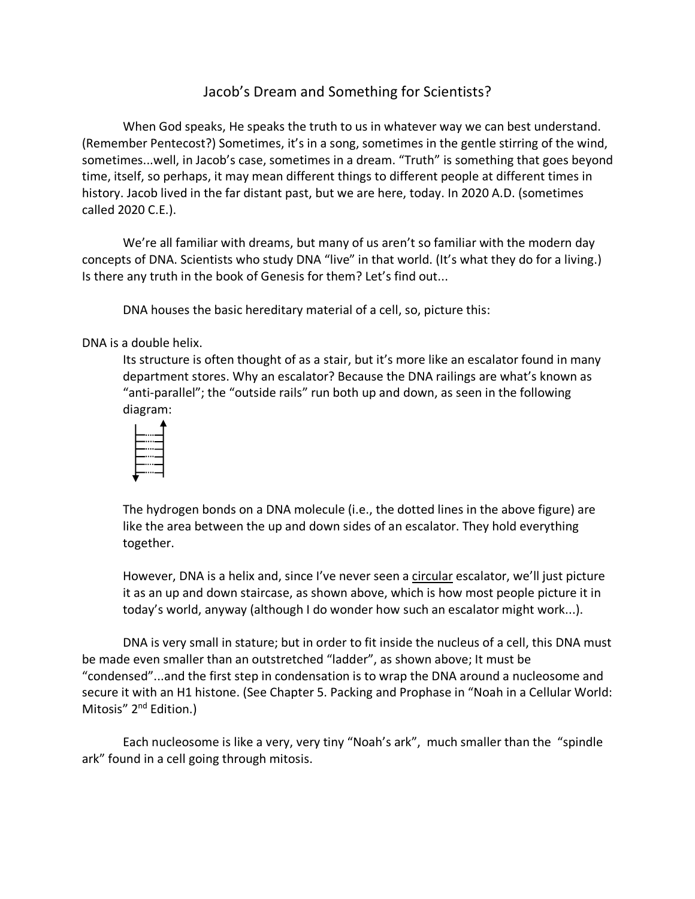## Jacob's Dream and Something for Scientists?

When God speaks, He speaks the truth to us in whatever way we can best understand. (Remember Pentecost?) Sometimes, it's in a song, sometimes in the gentle stirring of the wind, sometimes...well, in Jacob's case, sometimes in a dream. "Truth" is something that goes beyond time, itself, so perhaps, it may mean different things to different people at different times in history. Jacob lived in the far distant past, but we are here, today. In 2020 A.D. (sometimes called 2020 C.E.).

We're all familiar with dreams, but many of us aren't so familiar with the modern day concepts of DNA. Scientists who study DNA "live" in that world. (It's what they do for a living.) Is there any truth in the book of Genesis for them? Let's find out...

DNA houses the basic hereditary material of a cell, so, picture this:

## DNA is a double helix.

Its structure is often thought of as a stair, but it's more like an escalator found in many department stores. Why an escalator? Because the DNA railings are what's known as "anti-parallel"; the "outside rails" run both up and down, as seen in the following diagram:



The hydrogen bonds on a DNA molecule (i.e., the dotted lines in the above figure) are like the area between the up and down sides of an escalator. They hold everything together.

However, DNA is a helix and, since I've never seen a circular escalator, we'll just picture it as an up and down staircase, as shown above, which is how most people picture it in today's world, anyway (although I do wonder how such an escalator might work...).

DNA is very small in stature; but in order to fit inside the nucleus of a cell, this DNA must be made even smaller than an outstretched "ladder", as shown above; It must be "condensed"...and the first step in condensation is to wrap the DNA around a nucleosome and secure it with an H1 histone. (See Chapter 5. Packing and Prophase in "Noah in a Cellular World: Mitosis" 2<sup>nd</sup> Edition.)

Each nucleosome is like a very, very tiny "Noah's ark", much smaller than the "spindle ark" found in a cell going through mitosis.